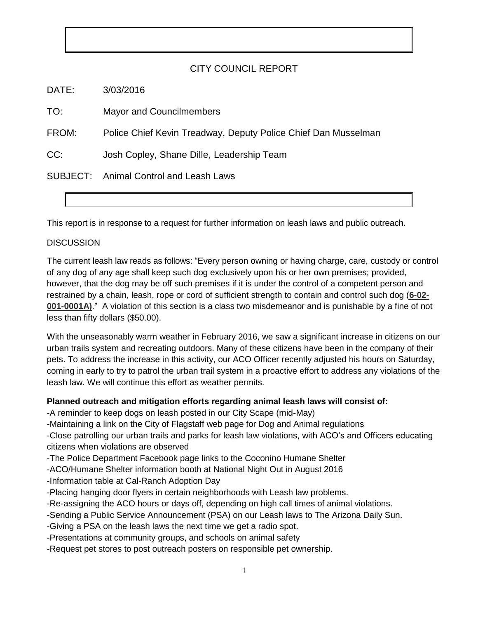## CITY COUNCIL REPORT

DATE: 3/03/2016

TO: Mayor and Councilmembers

FROM: Police Chief Kevin Treadway, Deputy Police Chief Dan Musselman

CC: Josh Copley, Shane Dille, Leadership Team

SUBJECT: Animal Control and Leash Laws

This report is in response to a request for further information on leash laws and public outreach.

## **DISCUSSION**

The current leash law reads as follows: "Every person owning or having charge, care, custody or control of any dog of any age shall keep such dog exclusively upon his or her own premises; provided, however, that the dog may be off such premises if it is under the control of a competent person and restrained by a chain, leash, rope or cord of sufficient strength to contain and control such dog (**6-02- 001-0001A)**." A violation of this section is a class two misdemeanor and is punishable by a fine of not less than fifty dollars (\$50.00).

With the unseasonably warm weather in February 2016, we saw a significant increase in citizens on our urban trails system and recreating outdoors. Many of these citizens have been in the company of their pets. To address the increase in this activity, our ACO Officer recently adjusted his hours on Saturday, coming in early to try to patrol the urban trail system in a proactive effort to address any violations of the leash law. We will continue this effort as weather permits.

## **Planned outreach and mitigation efforts regarding animal leash laws will consist of:**

-A reminder to keep dogs on leash posted in our City Scape (mid-May)

-Maintaining a link on the City of Flagstaff web page for Dog and Animal regulations

-Close patrolling our urban trails and parks for leash law violations, with ACO's and Officers educating citizens when violations are observed

-The Police Department Facebook page links to the Coconino Humane Shelter

-ACO/Humane Shelter information booth at National Night Out in August 2016

-Information table at Cal-Ranch Adoption Day

-Placing hanging door flyers in certain neighborhoods with Leash law problems.

-Re-assigning the ACO hours or days off, depending on high call times of animal violations.

-Sending a Public Service Announcement (PSA) on our Leash laws to The Arizona Daily Sun.

-Giving a PSA on the leash laws the next time we get a radio spot.

-Presentations at community groups, and schools on animal safety

-Request pet stores to post outreach posters on responsible pet ownership.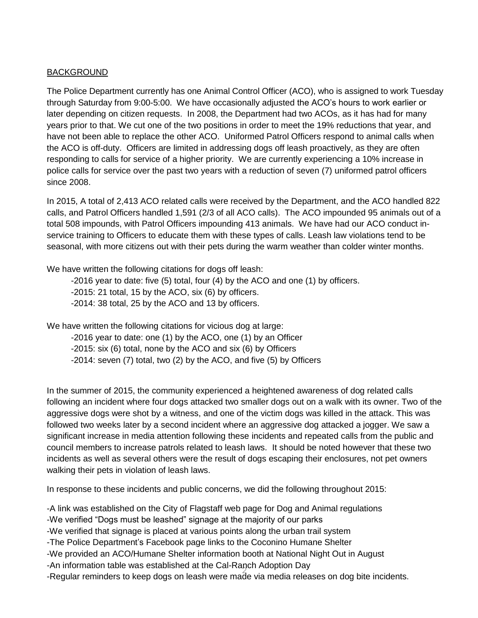## BACKGROUND

The Police Department currently has one Animal Control Officer (ACO), who is assigned to work Tuesday through Saturday from 9:00-5:00. We have occasionally adjusted the ACO's hours to work earlier or later depending on citizen requests. In 2008, the Department had two ACOs, as it has had for many years prior to that. We cut one of the two positions in order to meet the 19% reductions that year, and have not been able to replace the other ACO. Uniformed Patrol Officers respond to animal calls when the ACO is off-duty. Officers are limited in addressing dogs off leash proactively, as they are often responding to calls for service of a higher priority. We are currently experiencing a 10% increase in police calls for service over the past two years with a reduction of seven (7) uniformed patrol officers since 2008.

In 2015, A total of 2,413 ACO related calls were received by the Department, and the ACO handled 822 calls, and Patrol Officers handled 1,591 (2/3 of all ACO calls). The ACO impounded 95 animals out of a total 508 impounds, with Patrol Officers impounding 413 animals. We have had our ACO conduct inservice training to Officers to educate them with these types of calls. Leash law violations tend to be seasonal, with more citizens out with their pets during the warm weather than colder winter months.

We have written the following citations for dogs off leash:

-2016 year to date: five (5) total, four (4) by the ACO and one (1) by officers. -2015: 21 total, 15 by the ACO, six (6) by officers. -2014: 38 total, 25 by the ACO and 13 by officers.

We have written the following citations for vicious dog at large:

-2016 year to date: one (1) by the ACO, one (1) by an Officer -2015: six (6) total, none by the ACO and six (6) by Officers -2014: seven (7) total, two (2) by the ACO, and five (5) by Officers

In the summer of 2015, the community experienced a heightened awareness of dog related calls following an incident where four dogs attacked two smaller dogs out on a walk with its owner. Two of the aggressive dogs were shot by a witness, and one of the victim dogs was killed in the attack. This was followed two weeks later by a second incident where an aggressive dog attacked a jogger. We saw a significant increase in media attention following these incidents and repeated calls from the public and council members to increase patrols related to leash laws. It should be noted however that these two incidents as well as several others were the result of dogs escaping their enclosures, not pet owners walking their pets in violation of leash laws.

In response to these incidents and public concerns, we did the following throughout 2015:

2 -Regular reminders to keep dogs on leash were made via media releases on dog bite incidents.-A link was established on the City of Flagstaff web page for Dog and Animal regulations -We verified "Dogs must be leashed" signage at the majority of our parks -We verified that signage is placed at various points along the urban trail system -The Police Department's Facebook page links to the Coconino Humane Shelter -We provided an ACO/Humane Shelter information booth at National Night Out in August -An information table was established at the Cal-Ranch Adoption Day